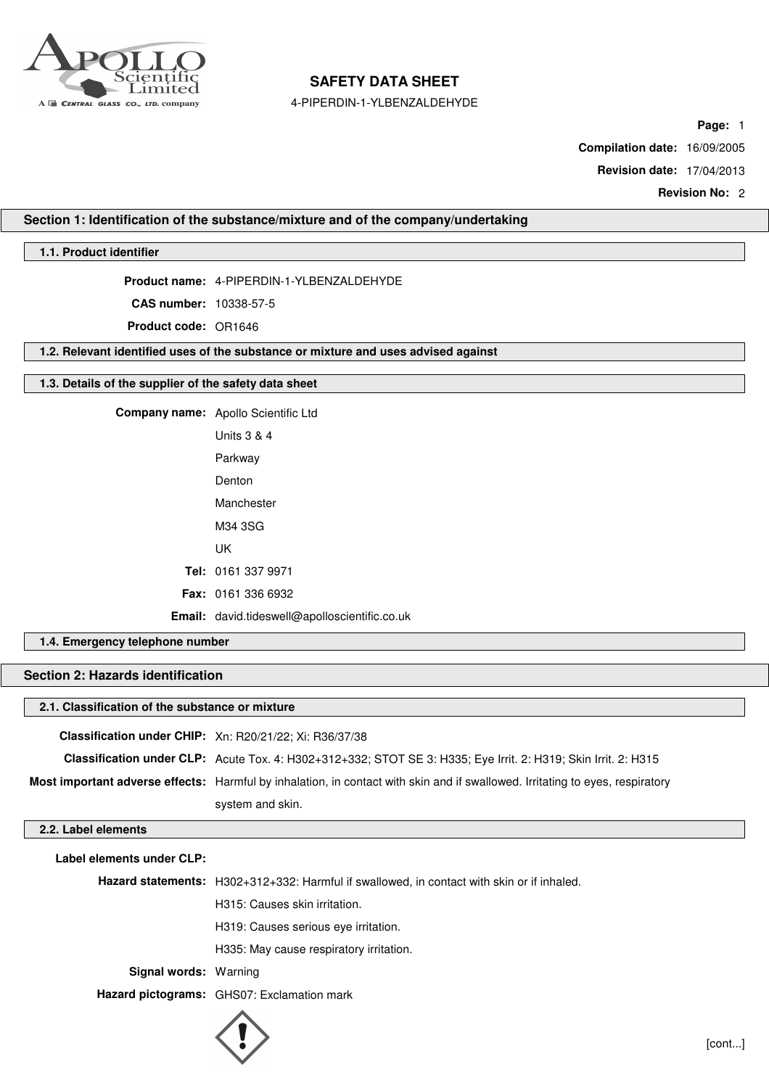

4-PIPERDIN-1-YLBENZALDEHYDE

**Page:** 1

**Compilation date:** 16/09/2005

**Revision date:** 17/04/2013

**Revision No:** 2

## **Section 1: Identification of the substance/mixture and of the company/undertaking**

## **1.1. Product identifier**

**Product name:** 4-PIPERDIN-1-YLBENZALDEHYDE

**CAS number:** 10338-57-5

**Product code:** OR1646

**1.2. Relevant identified uses of the substance or mixture and uses advised against**

#### **1.3. Details of the supplier of the safety data sheet**

| Company name: Apollo Scientific Ltd                  |
|------------------------------------------------------|
| <b>Units 3 &amp; 4</b>                               |
| Parkway                                              |
| Denton                                               |
| Manchester                                           |
| M34 3SG                                              |
| UK                                                   |
| Tel: 0161 337 9971                                   |
| <b>Fax: 0161 336 6932</b>                            |
| <b>Email:</b> david.tideswell@apolloscientific.co.uk |

## **1.4. Emergency telephone number**

# **Section 2: Hazards identification**

| 2.1. Classification of the substance or mixture |                                                                                                                               |
|-------------------------------------------------|-------------------------------------------------------------------------------------------------------------------------------|
|                                                 | Classification under CHIP: Xn: R20/21/22; Xi: R36/37/38                                                                       |
|                                                 | Classification under CLP: Acute Tox. 4: H302+312+332; STOT SE 3: H335; Eye Irrit. 2: H319; Skin Irrit. 2: H315                |
|                                                 | Most important adverse effects: Harmful by inhalation, in contact with skin and if swallowed. Irritating to eyes, respiratory |
|                                                 | system and skin.                                                                                                              |
| 2.2. Label elements                             |                                                                                                                               |

**Label elements under CLP:**

**Hazard statements:** H302+312+332: Harmful if swallowed, in contact with skin or if inhaled.

H315: Causes skin irritation.

H319: Causes serious eye irritation.

H335: May cause respiratory irritation.

**Signal words:** Warning

**Hazard pictograms:** GHS07: Exclamation mark

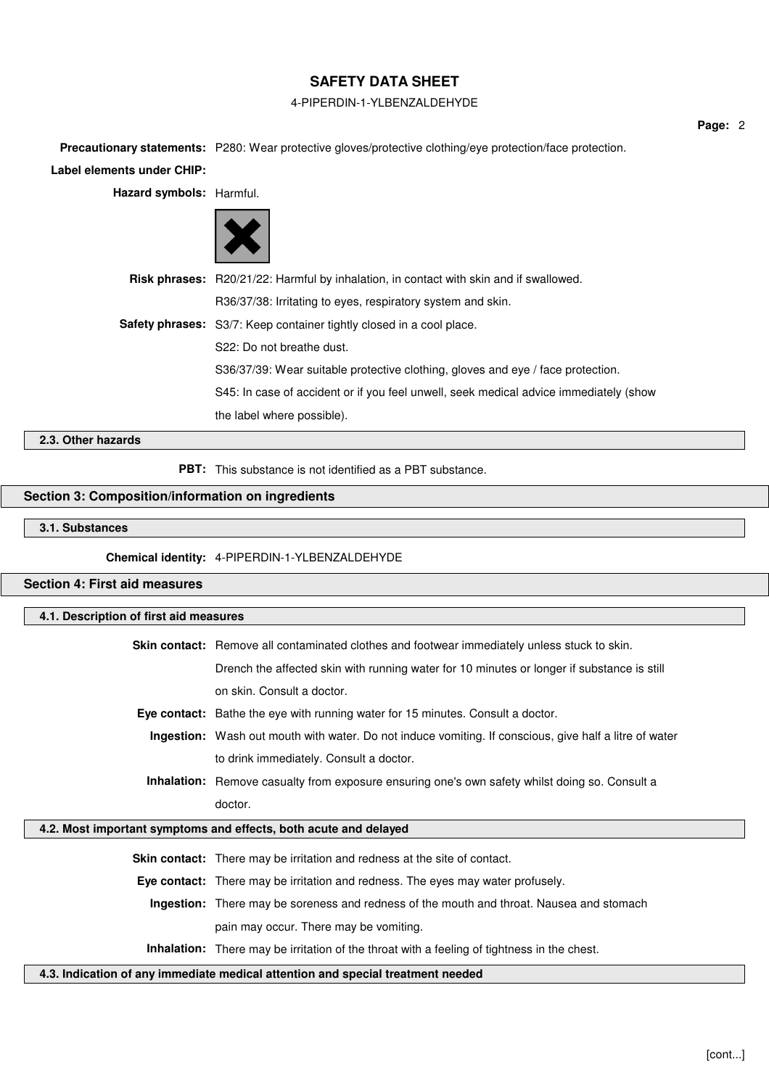## 4-PIPERDIN-1-YLBENZALDEHYDE

**Page:** 2

**Precautionary statements:** P280: Wear protective gloves/protective clothing/eye protection/face protection.

**Label elements under CHIP:**

**Hazard symbols:** Harmful.



| Risk phrases: R20/21/22: Harmful by inhalation, in contact with skin and if swallowed. |
|----------------------------------------------------------------------------------------|
| R36/37/38: Irritating to eyes, respiratory system and skin.                            |
| <b>Safety phrases:</b> S3/7: Keep container tightly closed in a cool place.            |
| S22: Do not breathe dust.                                                              |
| S36/37/39: Wear suitable protective clothing, gloves and eye / face protection.        |
| S45: In case of accident or if you feel unwell, seek medical advice immediately (show  |
| the label where possible).                                                             |

## **2.3. Other hazards**

**PBT:** This substance is not identified as a PBT substance.

## **Section 3: Composition/information on ingredients**

#### **3.1. Substances**

**Chemical identity:** 4-PIPERDIN-1-YLBENZALDEHYDE

## **Section 4: First aid measures**

# **4.1. Description of first aid measures**

| <b>Skin contact:</b> Remove all contaminated clothes and footwear immediately unless stuck to skin. |  |
|-----------------------------------------------------------------------------------------------------|--|
| Drench the affected skin with running water for 10 minutes or longer if substance is still          |  |
| on skin. Consult a doctor.                                                                          |  |
| Eye contact: Bathe the eye with running water for 15 minutes. Consult a doctor.                     |  |

- **Ingestion:** Wash out mouth with water. Do not induce vomiting. If conscious, give half a litre of water
	- to drink immediately. Consult a doctor.
	- **Inhalation:** Remove casualty from exposure ensuring one's own safety whilst doing so. Consult a doctor.

## **4.2. Most important symptoms and effects, both acute and delayed**

**Skin contact:** There may be irritation and redness at the site of contact.

**Eye contact:** There may be irritation and redness. The eyes may water profusely.

**Ingestion:** There may be soreness and redness of the mouth and throat. Nausea and stomach

pain may occur. There may be vomiting.

**Inhalation:** There may be irritation of the throat with a feeling of tightness in the chest.

**4.3. Indication of any immediate medical attention and special treatment needed**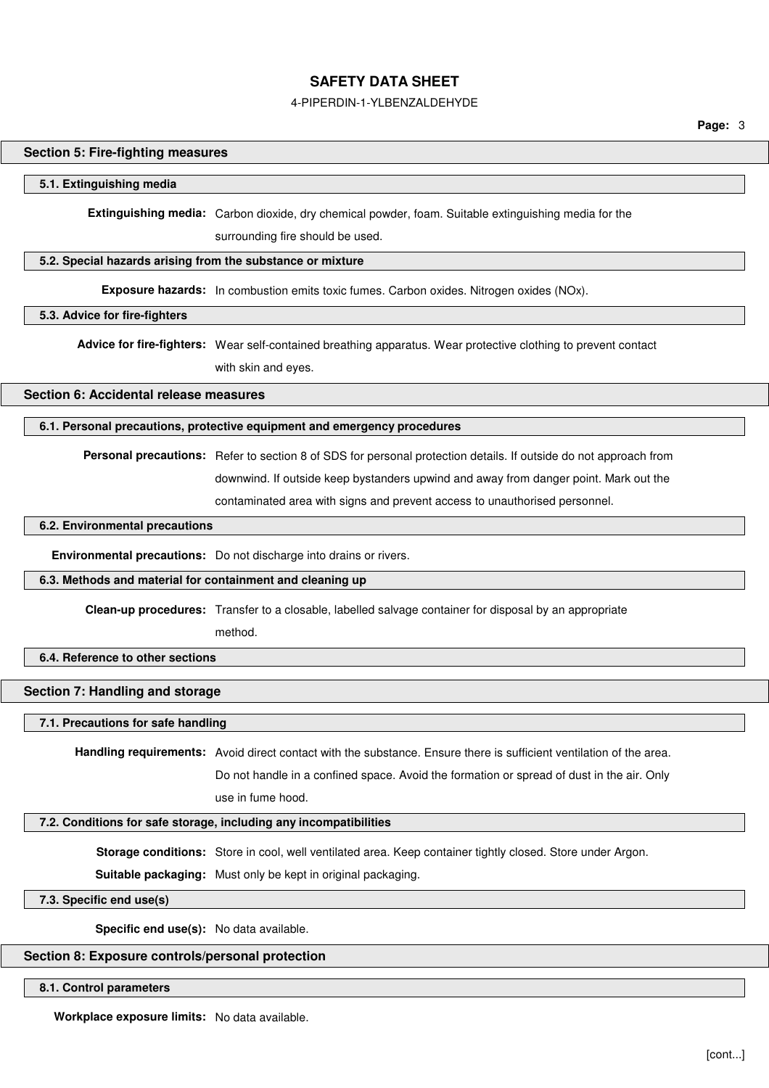#### 4-PIPERDIN-1-YLBENZALDEHYDE

**Page:** 3

#### **Section 5: Fire-fighting measures**

#### **5.1. Extinguishing media**

**Extinguishing media:** Carbon dioxide, dry chemical powder, foam. Suitable extinguishing media for the

surrounding fire should be used.

## **5.2. Special hazards arising from the substance or mixture**

**Exposure hazards:** In combustion emits toxic fumes. Carbon oxides. Nitrogen oxides (NOx).

#### **5.3. Advice for fire-fighters**

**Advice for fire-fighters:** Wear self-contained breathing apparatus. Wear protective clothing to prevent contact

with skin and eyes.

## **Section 6: Accidental release measures**

#### **6.1. Personal precautions, protective equipment and emergency procedures**

**Personal precautions:** Refer to section 8 of SDS for personal protection details. If outside do not approach from downwind. If outside keep bystanders upwind and away from danger point. Mark out the contaminated area with signs and prevent access to unauthorised personnel.

#### **6.2. Environmental precautions**

**Environmental precautions:** Do not discharge into drains or rivers.

#### **6.3. Methods and material for containment and cleaning up**

**Clean-up procedures:** Transfer to a closable, labelled salvage container for disposal by an appropriate

method.

## **6.4. Reference to other sections**

#### **Section 7: Handling and storage**

#### **7.1. Precautions for safe handling**

**Handling requirements:** Avoid direct contact with the substance. Ensure there is sufficient ventilation of the area.

Do not handle in a confined space. Avoid the formation or spread of dust in the air. Only

use in fume hood.

## **7.2. Conditions for safe storage, including any incompatibilities**

**Storage conditions:** Store in cool, well ventilated area. Keep container tightly closed. Store under Argon.

**Suitable packaging:** Must only be kept in original packaging.

## **7.3. Specific end use(s)**

**Specific end use(s):** No data available.

## **Section 8: Exposure controls/personal protection**

#### **8.1. Control parameters**

**Workplace exposure limits:** No data available.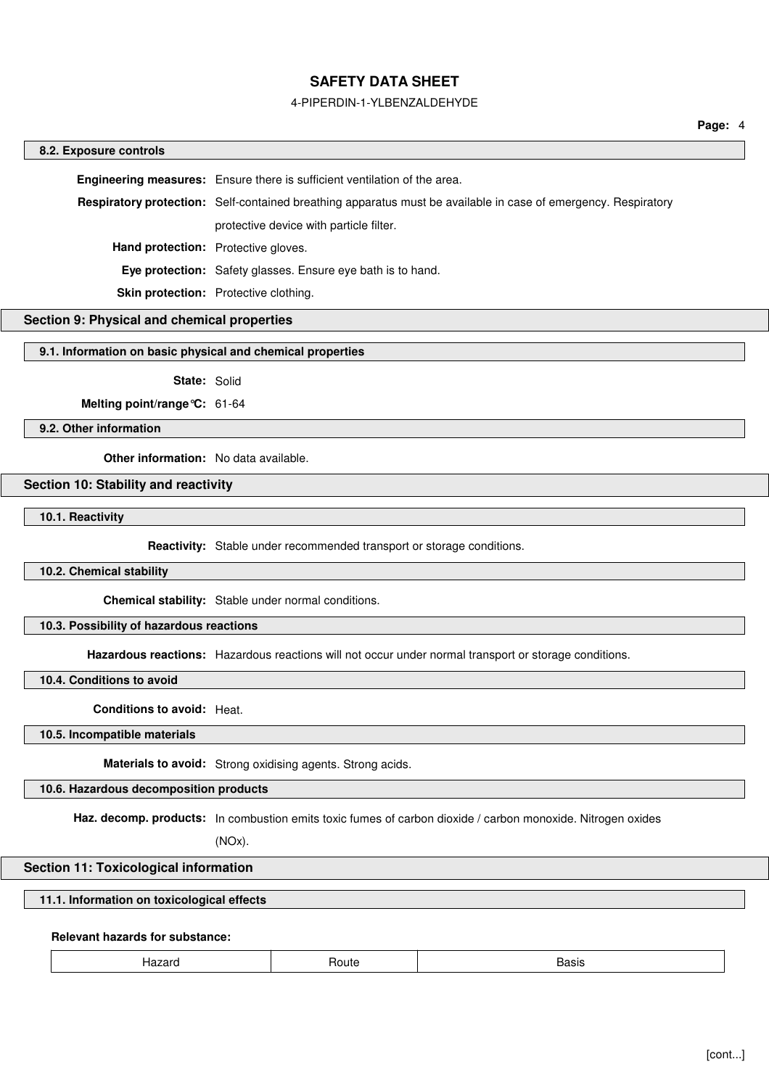#### 4-PIPERDIN-1-YLBENZALDEHYDE

#### **8.2. Exposure controls**

**Engineering measures:** Ensure there is sufficient ventilation of the area. **Respiratory protection:** Self-contained breathing apparatus must be available in case of emergency. Respiratory protective device with particle filter. **Hand protection:** Protective gloves. **Eye protection:** Safety glasses. Ensure eye bath is to hand. **Skin protection:** Protective clothing.

## **Section 9: Physical and chemical properties**

**9.1. Information on basic physical and chemical properties**

**State:** Solid

**Melting point/range°C:** 61-64

**9.2. Other information**

**Other information:** No data available.

## **Section 10: Stability and reactivity**

**10.1. Reactivity**

**Reactivity:** Stable under recommended transport or storage conditions.

### **10.2. Chemical stability**

**Chemical stability:** Stable under normal conditions.

#### **10.3. Possibility of hazardous reactions**

**Hazardous reactions:** Hazardous reactions will not occur under normal transport or storage conditions.

## **10.4. Conditions to avoid**

**Conditions to avoid:** Heat.

## **10.5. Incompatible materials**

**Materials to avoid:** Strong oxidising agents. Strong acids.

## **10.6. Hazardous decomposition products**

**Haz. decomp. products:** In combustion emits toxic fumes of carbon dioxide / carbon monoxide. Nitrogen oxides

(NOx).

#### **Section 11: Toxicological information**

## **11.1. Information on toxicological effects**

#### **Relevant hazards for substance:**

| Hazard | <b>Boute</b> | Basis |  |
|--------|--------------|-------|--|
|        |              |       |  |
|        |              |       |  |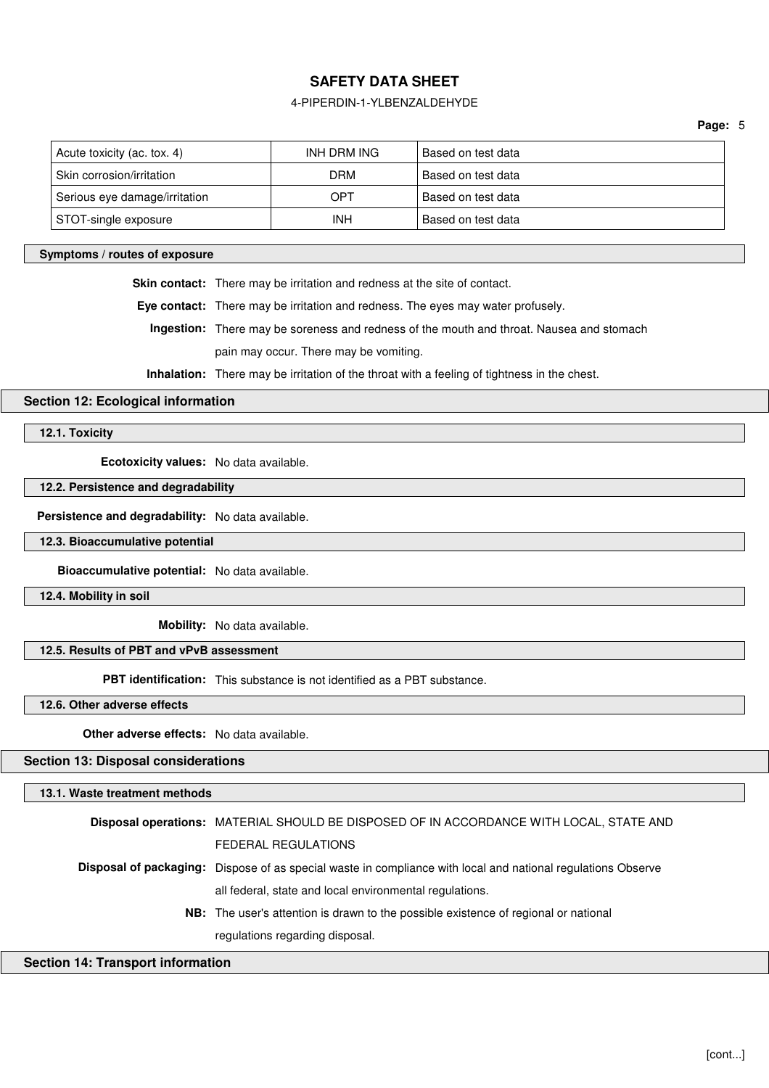## 4-PIPERDIN-1-YLBENZALDEHYDE

**Page:** 5

| Acute toxicity (ac. tox. 4)   | INH DRM ING | Based on test data |
|-------------------------------|-------------|--------------------|
| Skin corrosion/irritation     | <b>DRM</b>  | Based on test data |
| Serious eye damage/irritation | OPT         | Based on test data |
| STOT-single exposure          | INH         | Based on test data |

#### **Symptoms / routes of exposure**

**Skin contact:** There may be irritation and redness at the site of contact.

**Eye contact:** There may be irritation and redness. The eyes may water profusely.

**Ingestion:** There may be soreness and redness of the mouth and throat. Nausea and stomach pain may occur. There may be vomiting.

**Inhalation:** There may be irritation of the throat with a feeling of tightness in the chest.

## **Section 12: Ecological information**

**12.1. Toxicity**

**Ecotoxicity values:** No data available.

## **12.2. Persistence and degradability**

**Persistence and degradability:** No data available.

**12.3. Bioaccumulative potential**

**Bioaccumulative potential:** No data available.

**12.4. Mobility in soil**

**Mobility:** No data available.

#### **12.5. Results of PBT and vPvB assessment**

**PBT identification:** This substance is not identified as a PBT substance.

**12.6. Other adverse effects**

**Other adverse effects:** No data available.

## **Section 13: Disposal considerations**

## **13.1. Waste treatment methods**

| Disposal operations: MATERIAL SHOULD BE DISPOSED OF IN ACCORDANCE WITH LOCAL, STATE AND                             |
|---------------------------------------------------------------------------------------------------------------------|
| <b>FEDERAL REGULATIONS</b>                                                                                          |
| <b>Disposal of packaging:</b> Dispose of as special waste in compliance with local and national regulations Observe |
| all federal, state and local environmental regulations.                                                             |
| <b>NB:</b> The user's attention is drawn to the possible existence of regional or national                          |
| regulations regarding disposal.                                                                                     |
|                                                                                                                     |

## **Section 14: Transport information**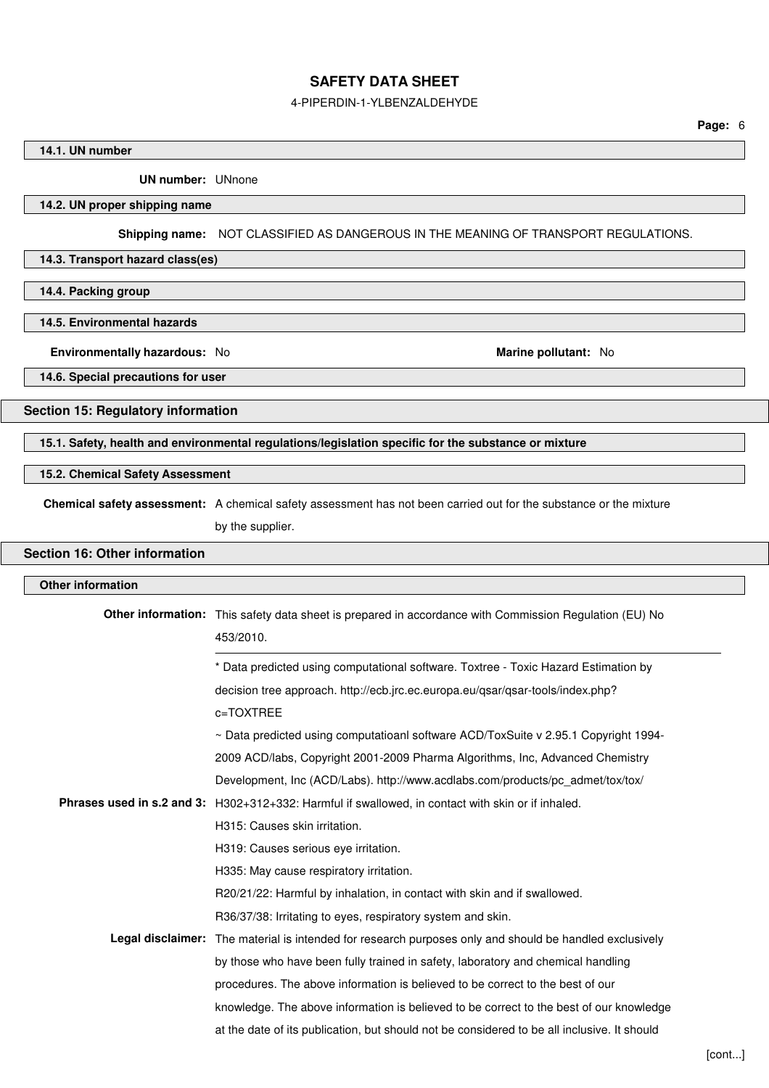#### 4-PIPERDIN-1-YLBENZALDEHYDE

#### **14.1. UN number**

**UN number:** UNnone

## **14.2. UN proper shipping name**

**Shipping name:** NOT CLASSIFIED AS DANGEROUS IN THE MEANING OF TRANSPORT REGULATIONS.

#### **14.3. Transport hazard class(es)**

**14.4. Packing group**

#### **14.5. Environmental hazards**

**Environmentally hazardous:** No **Marine pollutant:** No

**14.6. Special precautions for user**

#### **Section 15: Regulatory information**

**15.1. Safety, health and environmental regulations/legislation specific for the substance or mixture**

#### **15.2. Chemical Safety Assessment**

**Chemical safety assessment:** A chemical safety assessment has not been carried out for the substance or the mixture

by the supplier.

## **Section 16: Other information**

# **Other information Other information:** This safety data sheet is prepared in accordance with Commission Regulation (EU) No 453/2010. \* Data predicted using computational software. Toxtree - Toxic Hazard Estimation by decision tree approach. http://ecb.jrc.ec.europa.eu/qsar/qsar-tools/index.php? c=TOXTREE ~ Data predicted using computatioanl software ACD/ToxSuite v 2.95.1 Copyright 1994- 2009 ACD/labs, Copyright 2001-2009 Pharma Algorithms, Inc, Advanced Chemistry Development, Inc (ACD/Labs). http://www.acdlabs.com/products/pc\_admet/tox/tox/ **Phrases used in s.2 and 3:** H302+312+332: Harmful if swallowed, in contact with skin or if inhaled. H315: Causes skin irritation. H319: Causes serious eye irritation. H335: May cause respiratory irritation. R20/21/22: Harmful by inhalation, in contact with skin and if swallowed. R36/37/38: Irritating to eyes, respiratory system and skin. **Legal disclaimer:** The material is intended for research purposes only and should be handled exclusively by those who have been fully trained in safety, laboratory and chemical handling procedures. The above information is believed to be correct to the best of our knowledge. The above information is believed to be correct to the best of our knowledge at the date of its publication, but should not be considered to be all inclusive. It should